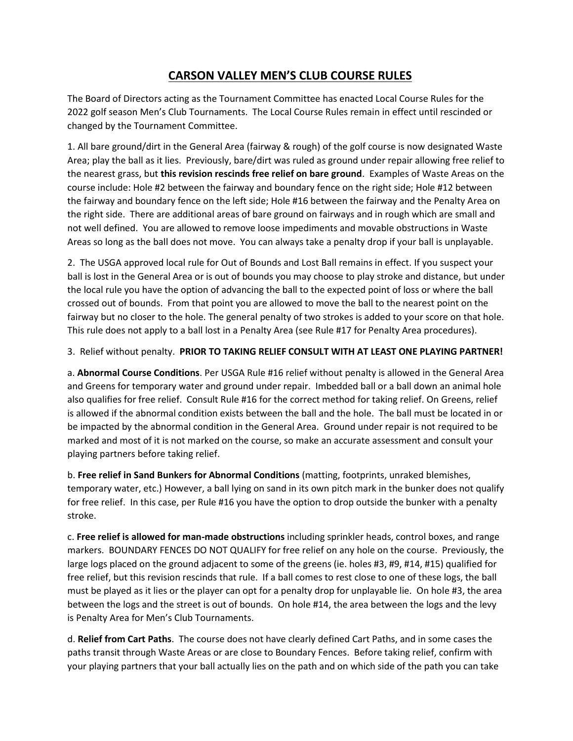## **CARSON VALLEY MEN'S CLUB COURSE RULES**

The Board of Directors acting as the Tournament Committee has enacted Local Course Rules for the 2022 golf season Men's Club Tournaments. The Local Course Rules remain in effect until rescinded or changed by the Tournament Committee.

1. All bare ground/dirt in the General Area (fairway & rough) of the golf course is now designated Waste Area; play the ball as it lies. Previously, bare/dirt was ruled as ground under repair allowing free relief to the nearest grass, but **this revision rescinds free relief on bare ground**. Examples of Waste Areas on the course include: Hole #2 between the fairway and boundary fence on the right side; Hole #12 between the fairway and boundary fence on the left side; Hole #16 between the fairway and the Penalty Area on the right side. There are additional areas of bare ground on fairways and in rough which are small and not well defined. You are allowed to remove loose impediments and movable obstructions in Waste Areas so long as the ball does not move. You can always take a penalty drop if your ball is unplayable.

2. The USGA approved local rule for Out of Bounds and Lost Ball remains in effect. If you suspect your ball is lost in the General Area or is out of bounds you may choose to play stroke and distance, but under the local rule you have the option of advancing the ball to the expected point of loss or where the ball crossed out of bounds. From that point you are allowed to move the ball to the nearest point on the fairway but no closer to the hole. The general penalty of two strokes is added to your score on that hole. This rule does not apply to a ball lost in a Penalty Area (see Rule #17 for Penalty Area procedures).

## 3. Relief without penalty. **PRIOR TO TAKING RELIEF CONSULT WITH AT LEAST ONE PLAYING PARTNER!**

a. **Abnormal Course Conditions**. Per USGA Rule #16 relief without penalty is allowed in the General Area and Greens for temporary water and ground under repair. Imbedded ball or a ball down an animal hole also qualifies for free relief. Consult Rule #16 for the correct method for taking relief. On Greens, relief is allowed if the abnormal condition exists between the ball and the hole. The ball must be located in or be impacted by the abnormal condition in the General Area. Ground under repair is not required to be marked and most of it is not marked on the course, so make an accurate assessment and consult your playing partners before taking relief.

b. **Free relief in Sand Bunkers for Abnormal Conditions** (matting, footprints, unraked blemishes, temporary water, etc.) However, a ball lying on sand in its own pitch mark in the bunker does not qualify for free relief. In this case, per Rule #16 you have the option to drop outside the bunker with a penalty stroke.

c. **Free relief is allowed for man-made obstructions** including sprinkler heads, control boxes, and range markers. BOUNDARY FENCES DO NOT QUALIFY for free relief on any hole on the course. Previously, the large logs placed on the ground adjacent to some of the greens (ie. holes #3, #9, #14, #15) qualified for free relief, but this revision rescinds that rule. If a ball comes to rest close to one of these logs, the ball must be played as it lies or the player can opt for a penalty drop for unplayable lie. On hole #3, the area between the logs and the street is out of bounds. On hole #14, the area between the logs and the levy is Penalty Area for Men's Club Tournaments.

d. **Relief from Cart Paths**. The course does not have clearly defined Cart Paths, and in some cases the paths transit through Waste Areas or are close to Boundary Fences. Before taking relief, confirm with your playing partners that your ball actually lies on the path and on which side of the path you can take